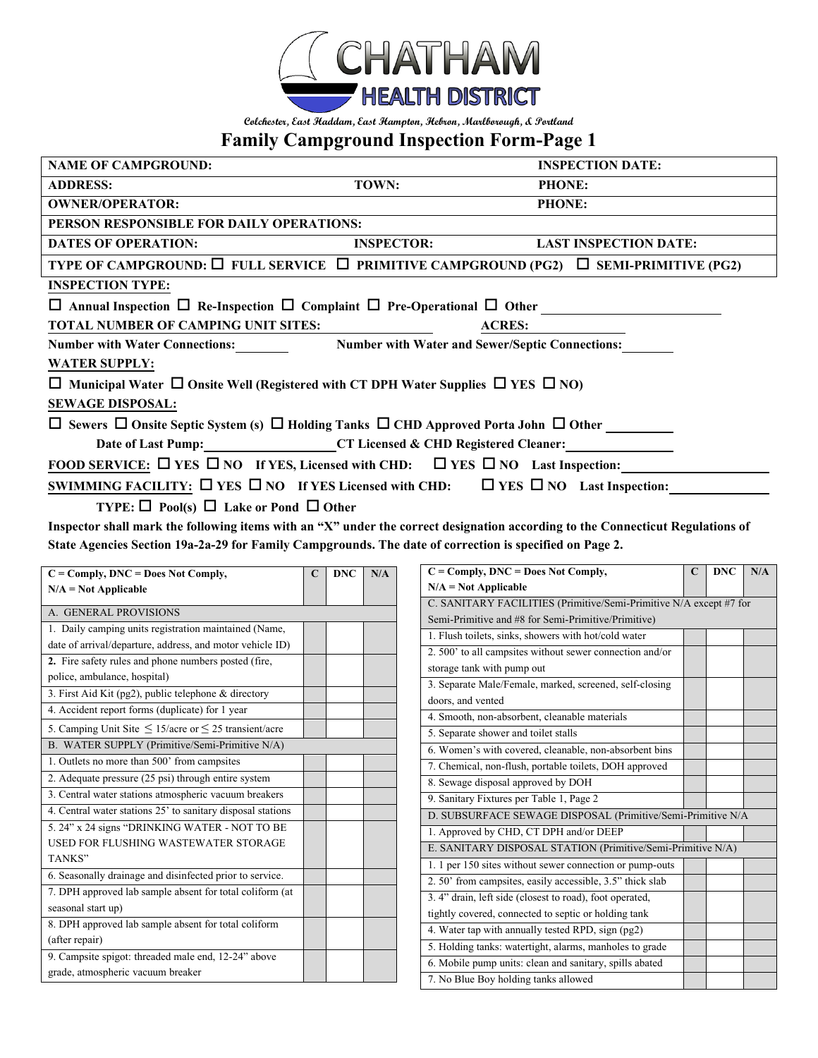

**Colchester, East Haddam, East Hampton, Hebron, Marlborough, & Portland**

## **Family Campground Inspection Form-Page 1**

| <b>NAME OF CAMPGROUND:</b>                                                                                          |                   | <b>INSPECTION DATE:</b>      |  |  |  |  |  |
|---------------------------------------------------------------------------------------------------------------------|-------------------|------------------------------|--|--|--|--|--|
| <b>ADDRESS:</b>                                                                                                     | TOWN:             | <b>PHONE:</b>                |  |  |  |  |  |
| <b>OWNER/OPERATOR:</b>                                                                                              |                   | <b>PHONE:</b>                |  |  |  |  |  |
| PERSON RESPONSIBLE FOR DAILY OPERATIONS:                                                                            |                   |                              |  |  |  |  |  |
| <b>DATES OF OPERATION:</b>                                                                                          | <b>INSPECTOR:</b> | <b>LAST INSPECTION DATE:</b> |  |  |  |  |  |
| TYPE OF CAMPGROUND: $\Box$ FULL SERVICE $\Box$ PRIMITIVE CAMPGROUND (PG2) $\Box$ SEMI-PRIMITIVE (PG2)               |                   |                              |  |  |  |  |  |
| <b>INSPECTION TYPE:</b>                                                                                             |                   |                              |  |  |  |  |  |
| $\Box$ Annual Inspection $\Box$ Re-Inspection $\Box$ Complaint $\Box$ Pre-Operational $\Box$ Other                  |                   |                              |  |  |  |  |  |
| <b>TOTAL NUMBER OF CAMPING UNIT SITES:</b>                                                                          | <b>ACRES:</b>     |                              |  |  |  |  |  |
| Number with Water Connections: Number with Water and Sewer/Septic Connections:                                      |                   |                              |  |  |  |  |  |
| <b>WATER SUPPLY:</b>                                                                                                |                   |                              |  |  |  |  |  |
| $\Box$ Municipal Water $\Box$ Onsite Well (Registered with CT DPH Water Supplies $\Box$ YES $\Box$ NO)              |                   |                              |  |  |  |  |  |
| <b>SEWAGE DISPOSAL:</b>                                                                                             |                   |                              |  |  |  |  |  |
| $\Box$ Sewers $\Box$ Onsite Septic System (s) $\Box$ Holding Tanks $\Box$ CHD Approved Porta John $\Box$ Other      |                   |                              |  |  |  |  |  |
| Date of Last Pump: CT Licensed & CHD Registered Cleaner:                                                            |                   |                              |  |  |  |  |  |
| FOOD SERVICE: $\Box$ YES $\Box$ NO If YES, Licensed with CHD: $\Box$ YES $\Box$ NO Last Inspection:                 |                   |                              |  |  |  |  |  |
| SWIMMING FACILITY: $\square$ YES $\square$ NO If YES Licensed with CHD: $\square$ YES $\square$ NO Last Inspection: |                   |                              |  |  |  |  |  |
| TYPE: $\Box$ Pool(s) $\Box$ Lake or Pond $\Box$ Other                                                               |                   |                              |  |  |  |  |  |

**Inspector shall mark the following items with an "X" under the correct designation according to the Connecticut Regulations of State Agencies Section 19a-2a-29 for Family Campgrounds. The date of correction is specified on Page 2.**

|                                                                                |  | $N/A = Not Applicable$                                             |                                                                                                                                                                                                                                                                                                                                                                                                                                                                                   |  |                                                                                                                            |
|--------------------------------------------------------------------------------|--|--------------------------------------------------------------------|-----------------------------------------------------------------------------------------------------------------------------------------------------------------------------------------------------------------------------------------------------------------------------------------------------------------------------------------------------------------------------------------------------------------------------------------------------------------------------------|--|----------------------------------------------------------------------------------------------------------------------------|
|                                                                                |  |                                                                    |                                                                                                                                                                                                                                                                                                                                                                                                                                                                                   |  |                                                                                                                            |
|                                                                                |  | C. SANITARY FACILITIES (Primitive/Semi-Primitive N/A except #7 for |                                                                                                                                                                                                                                                                                                                                                                                                                                                                                   |  |                                                                                                                            |
| A. GENERAL PROVISIONS<br>1. Daily camping units registration maintained (Name, |  | Semi-Primitive and #8 for Semi-Primitive/Primitive)                |                                                                                                                                                                                                                                                                                                                                                                                                                                                                                   |  |                                                                                                                            |
|                                                                                |  | 1. Flush toilets, sinks, showers with hot/cold water               |                                                                                                                                                                                                                                                                                                                                                                                                                                                                                   |  |                                                                                                                            |
|                                                                                |  | 2. 500' to all campsites without sewer connection and/or           |                                                                                                                                                                                                                                                                                                                                                                                                                                                                                   |  |                                                                                                                            |
|                                                                                |  | storage tank with pump out                                         |                                                                                                                                                                                                                                                                                                                                                                                                                                                                                   |  |                                                                                                                            |
|                                                                                |  | 3. Separate Male/Female, marked, screened, self-closing            |                                                                                                                                                                                                                                                                                                                                                                                                                                                                                   |  |                                                                                                                            |
|                                                                                |  |                                                                    |                                                                                                                                                                                                                                                                                                                                                                                                                                                                                   |  |                                                                                                                            |
|                                                                                |  | 4. Smooth, non-absorbent, cleanable materials                      |                                                                                                                                                                                                                                                                                                                                                                                                                                                                                   |  |                                                                                                                            |
|                                                                                |  | 5. Separate shower and toilet stalls                               |                                                                                                                                                                                                                                                                                                                                                                                                                                                                                   |  |                                                                                                                            |
|                                                                                |  | 6. Women's with covered, cleanable, non-absorbent bins             |                                                                                                                                                                                                                                                                                                                                                                                                                                                                                   |  |                                                                                                                            |
|                                                                                |  | 7. Chemical, non-flush, portable toilets, DOH approved             |                                                                                                                                                                                                                                                                                                                                                                                                                                                                                   |  |                                                                                                                            |
|                                                                                |  | 8. Sewage disposal approved by DOH                                 |                                                                                                                                                                                                                                                                                                                                                                                                                                                                                   |  |                                                                                                                            |
|                                                                                |  | 9. Sanitary Fixtures per Table 1, Page 2                           |                                                                                                                                                                                                                                                                                                                                                                                                                                                                                   |  |                                                                                                                            |
|                                                                                |  |                                                                    |                                                                                                                                                                                                                                                                                                                                                                                                                                                                                   |  |                                                                                                                            |
|                                                                                |  | 1. Approved by CHD, CT DPH and/or DEEP                             |                                                                                                                                                                                                                                                                                                                                                                                                                                                                                   |  |                                                                                                                            |
|                                                                                |  |                                                                    |                                                                                                                                                                                                                                                                                                                                                                                                                                                                                   |  |                                                                                                                            |
|                                                                                |  |                                                                    |                                                                                                                                                                                                                                                                                                                                                                                                                                                                                   |  |                                                                                                                            |
|                                                                                |  |                                                                    |                                                                                                                                                                                                                                                                                                                                                                                                                                                                                   |  |                                                                                                                            |
|                                                                                |  |                                                                    |                                                                                                                                                                                                                                                                                                                                                                                                                                                                                   |  |                                                                                                                            |
|                                                                                |  |                                                                    |                                                                                                                                                                                                                                                                                                                                                                                                                                                                                   |  |                                                                                                                            |
|                                                                                |  |                                                                    |                                                                                                                                                                                                                                                                                                                                                                                                                                                                                   |  |                                                                                                                            |
|                                                                                |  |                                                                    |                                                                                                                                                                                                                                                                                                                                                                                                                                                                                   |  |                                                                                                                            |
|                                                                                |  |                                                                    |                                                                                                                                                                                                                                                                                                                                                                                                                                                                                   |  |                                                                                                                            |
|                                                                                |  |                                                                    |                                                                                                                                                                                                                                                                                                                                                                                                                                                                                   |  |                                                                                                                            |
|                                                                                |  |                                                                    | doors, and vented<br>1. 1 per 150 sites without sewer connection or pump-outs<br>2. 50' from campsites, easily accessible, 3.5" thick slab<br>3. 4" drain, left side (closest to road), foot operated,<br>tightly covered, connected to septic or holding tank<br>4. Water tap with annually tested RPD, sign (pg2)<br>5. Holding tanks: watertight, alarms, manholes to grade<br>6. Mobile pump units: clean and sanitary, spills abated<br>7. No Blue Boy holding tanks allowed |  | D. SUBSURFACE SEWAGE DISPOSAL (Primitive/Semi-Primitive N/A<br>E. SANITARY DISPOSAL STATION (Primitive/Semi-Primitive N/A) |